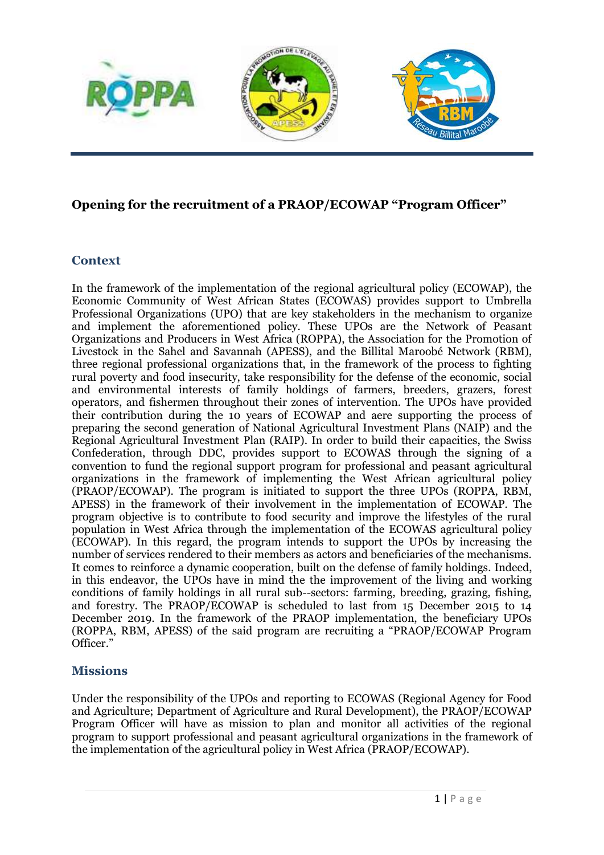

## **Opening for the recruitment of a PRAOP/ECOWAP "Program Officer"**

#### **Context**

In the framework of the implementation of the regional agricultural policy (ECOWAP), the Economic Community of West African States (ECOWAS) provides support to Umbrella Professional Organizations (UPO) that are key stakeholders in the mechanism to organize and implement the aforementioned policy. These UPOs are the Network of Peasant Organizations and Producers in West Africa (ROPPA), the Association for the Promotion of Livestock in the Sahel and Savannah (APESS), and the Billital Maroobé Network (RBM), three regional professional organizations that, in the framework of the process to fighting rural poverty and food insecurity, take responsibility for the defense of the economic, social and environmental interests of family holdings of farmers, breeders, grazers, forest operators, and fishermen throughout their zones of intervention. The UPOs have provided their contribution during the 10 years of ECOWAP and aere supporting the process of preparing the second generation of National Agricultural Investment Plans (NAIP) and the Regional Agricultural Investment Plan (RAIP). In order to build their capacities, the Swiss Confederation, through DDC, provides support to ECOWAS through the signing of a convention to fund the regional support program for professional and peasant agricultural organizations in the framework of implementing the West African agricultural policy (PRAOP/ECOWAP). The program is initiated to support the three UPOs (ROPPA, RBM, APESS) in the framework of their involvement in the implementation of ECOWAP. The program objective is to contribute to food security and improve the lifestyles of the rural population in West Africa through the implementation of the ECOWAS agricultural policy (ECOWAP). In this regard, the program intends to support the UPOs by increasing the number of services rendered to their members as actors and beneficiaries of the mechanisms. It comes to reinforce a dynamic cooperation, built on the defense of family holdings. Indeed, in this endeavor, the UPOs have in mind the the improvement of the living and working conditions of family holdings in all rural sub--sectors: farming, breeding, grazing, fishing, and forestry. The PRAOP/ECOWAP is scheduled to last from 15 December 2015 to 14 December 2019. In the framework of the PRAOP implementation, the beneficiary UPOs (ROPPA, RBM, APESS) of the said program are recruiting a "PRAOP/ECOWAP Program Officer."

#### **Missions**

Under the responsibility of the UPOs and reporting to ECOWAS (Regional Agency for Food and Agriculture; Department of Agriculture and Rural Development), the PRAOP/ECOWAP Program Officer will have as mission to plan and monitor all activities of the regional program to support professional and peasant agricultural organizations in the framework of the implementation of the agricultural policy in West Africa (PRAOP/ECOWAP).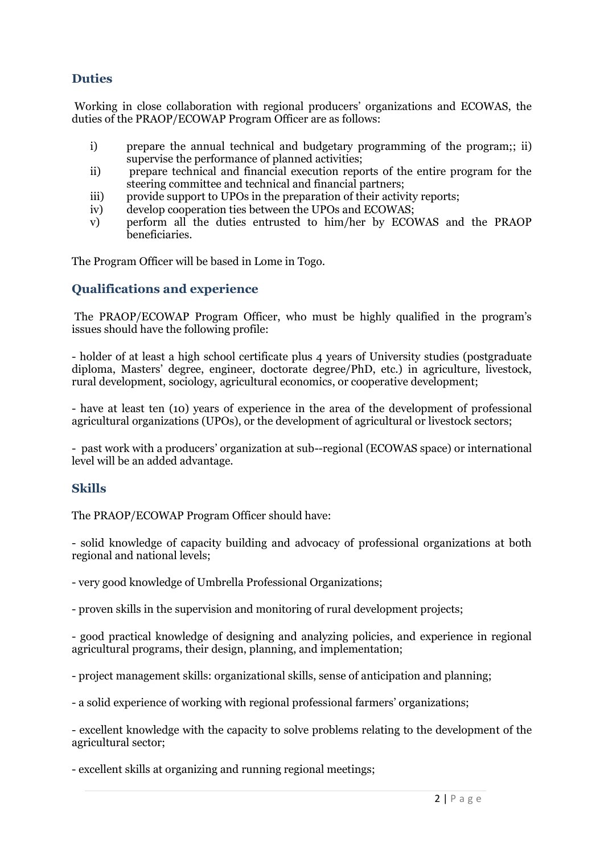## **Duties**

Working in close collaboration with regional producers' organizations and ECOWAS, the duties of the PRAOP/ECOWAP Program Officer are as follows:

- i) prepare the annual technical and budgetary programming of the program;; ii) supervise the performance of planned activities;
- ii) prepare technical and financial execution reports of the entire program for the steering committee and technical and financial partners;
- iii) provide support to UPOs in the preparation of their activity reports;
- iv) develop cooperation ties between the UPOs and ECOWAS;
- v) perform all the duties entrusted to him/her by ECOWAS and the PRAOP beneficiaries.

The Program Officer will be based in Lome in Togo.

### **Qualifications and experience**

The PRAOP/ECOWAP Program Officer, who must be highly qualified in the program's issues should have the following profile:

- holder of at least a high school certificate plus 4 years of University studies (postgraduate diploma, Masters' degree, engineer, doctorate degree/PhD, etc.) in agriculture, livestock, rural development, sociology, agricultural economics, or cooperative development;

- have at least ten (10) years of experience in the area of the development of professional agricultural organizations (UPOs), or the development of agricultural or livestock sectors;

- past work with a producers' organization at sub--regional (ECOWAS space) or international level will be an added advantage.

#### **Skills**

The PRAOP/ECOWAP Program Officer should have:

- solid knowledge of capacity building and advocacy of professional organizations at both regional and national levels;

- very good knowledge of Umbrella Professional Organizations;

- proven skills in the supervision and monitoring of rural development projects;

- good practical knowledge of designing and analyzing policies, and experience in regional agricultural programs, their design, planning, and implementation;

- project management skills: organizational skills, sense of anticipation and planning;

- a solid experience of working with regional professional farmers' organizations;

- excellent knowledge with the capacity to solve problems relating to the development of the agricultural sector;

- excellent skills at organizing and running regional meetings;